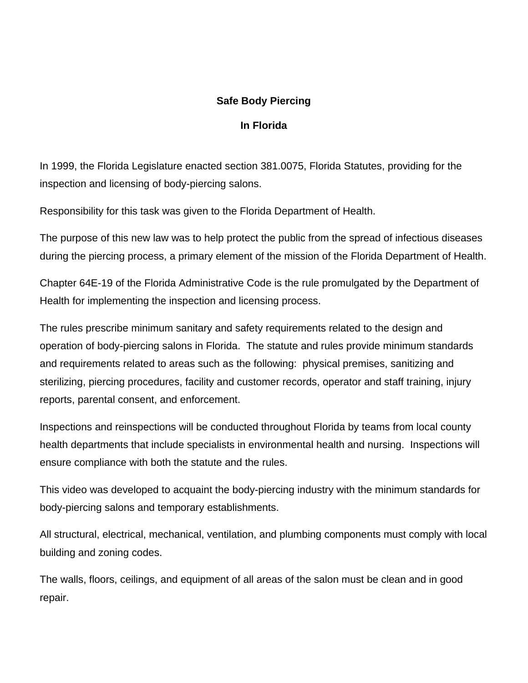## **Safe Body Piercing**

## **In Florida**

In 1999, the Florida Legislature enacted section 381.0075, Florida Statutes, providing for the inspection and licensing of body-piercing salons.

Responsibility for this task was given to the Florida Department of Health.

The purpose of this new law was to help protect the public from the spread of infectious diseases during the piercing process, a primary element of the mission of the Florida Department of Health.

Chapter 64E-19 of the Florida Administrative Code is the rule promulgated by the Department of Health for implementing the inspection and licensing process.

The rules prescribe minimum sanitary and safety requirements related to the design and operation of body-piercing salons in Florida. The statute and rules provide minimum standards and requirements related to areas such as the following: physical premises, sanitizing and sterilizing, piercing procedures, facility and customer records, operator and staff training, injury reports, parental consent, and enforcement.

Inspections and reinspections will be conducted throughout Florida by teams from local county health departments that include specialists in environmental health and nursing. Inspections will ensure compliance with both the statute and the rules.

This video was developed to acquaint the body-piercing industry with the minimum standards for body-piercing salons and temporary establishments.

All structural, electrical, mechanical, ventilation, and plumbing components must comply with local building and zoning codes.

The walls, floors, ceilings, and equipment of all areas of the salon must be clean and in good repair.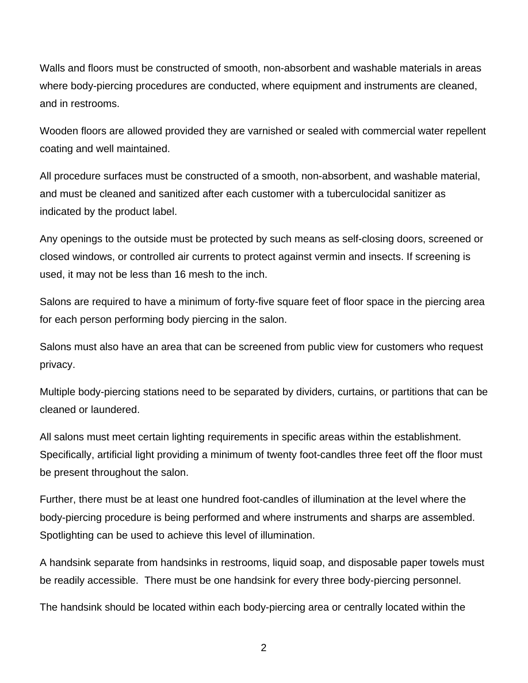Walls and floors must be constructed of smooth, non-absorbent and washable materials in areas where body-piercing procedures are conducted, where equipment and instruments are cleaned, and in restrooms.

Wooden floors are allowed provided they are varnished or sealed with commercial water repellent coating and well maintained.

All procedure surfaces must be constructed of a smooth, non-absorbent, and washable material, and must be cleaned and sanitized after each customer with a tuberculocidal sanitizer as indicated by the product label.

Any openings to the outside must be protected by such means as self-closing doors, screened or closed windows, or controlled air currents to protect against vermin and insects. If screening is used, it may not be less than 16 mesh to the inch.

Salons are required to have a minimum of forty-five square feet of floor space in the piercing area for each person performing body piercing in the salon.

Salons must also have an area that can be screened from public view for customers who request privacy.

Multiple body-piercing stations need to be separated by dividers, curtains, or partitions that can be cleaned or laundered.

All salons must meet certain lighting requirements in specific areas within the establishment. Specifically, artificial light providing a minimum of twenty foot-candles three feet off the floor must be present throughout the salon.

Further, there must be at least one hundred foot-candles of illumination at the level where the body-piercing procedure is being performed and where instruments and sharps are assembled. Spotlighting can be used to achieve this level of illumination.

A handsink separate from handsinks in restrooms, liquid soap, and disposable paper towels must be readily accessible. There must be one handsink for every three body-piercing personnel.

The handsink should be located within each body-piercing area or centrally located within the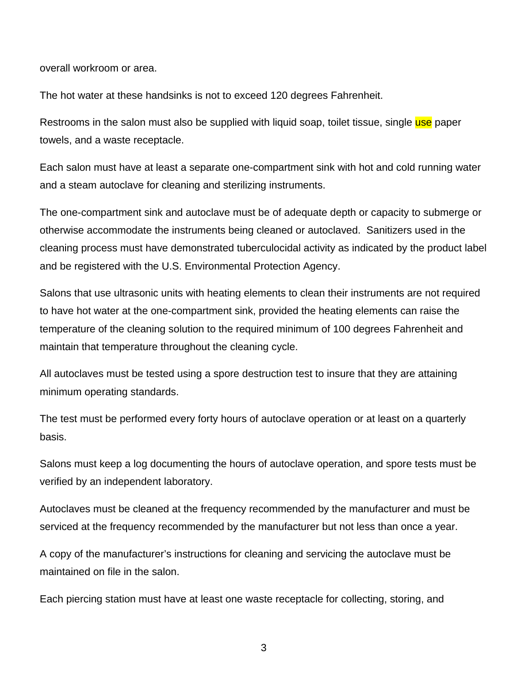overall workroom or area.

The hot water at these handsinks is not to exceed 120 degrees Fahrenheit.

Restrooms in the salon must also be supplied with liquid soap, toilet tissue, single use paper towels, and a waste receptacle.

Each salon must have at least a separate one-compartment sink with hot and cold running water and a steam autoclave for cleaning and sterilizing instruments.

The one-compartment sink and autoclave must be of adequate depth or capacity to submerge or otherwise accommodate the instruments being cleaned or autoclaved. Sanitizers used in the cleaning process must have demonstrated tuberculocidal activity as indicated by the product label and be registered with the U.S. Environmental Protection Agency.

Salons that use ultrasonic units with heating elements to clean their instruments are not required to have hot water at the one-compartment sink, provided the heating elements can raise the temperature of the cleaning solution to the required minimum of 100 degrees Fahrenheit and maintain that temperature throughout the cleaning cycle.

All autoclaves must be tested using a spore destruction test to insure that they are attaining minimum operating standards.

The test must be performed every forty hours of autoclave operation or at least on a quarterly basis.

Salons must keep a log documenting the hours of autoclave operation, and spore tests must be verified by an independent laboratory.

Autoclaves must be cleaned at the frequency recommended by the manufacturer and must be serviced at the frequency recommended by the manufacturer but not less than once a year.

A copy of the manufacturer's instructions for cleaning and servicing the autoclave must be maintained on file in the salon.

Each piercing station must have at least one waste receptacle for collecting, storing, and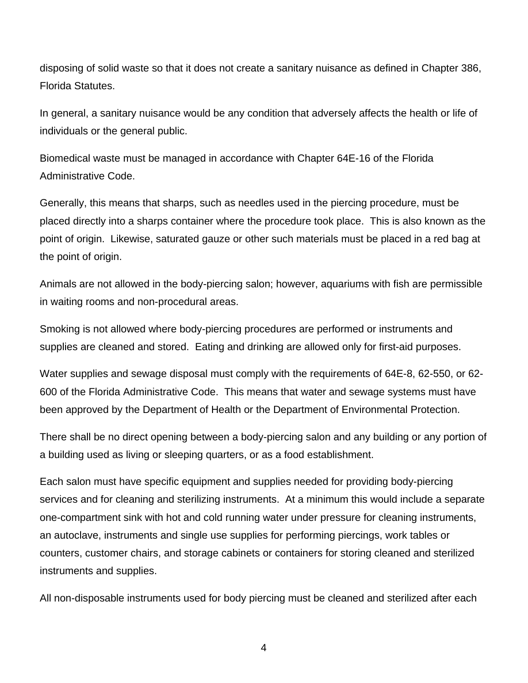disposing of solid waste so that it does not create a sanitary nuisance as defined in Chapter 386, Florida Statutes.

In general, a sanitary nuisance would be any condition that adversely affects the health or life of individuals or the general public.

Biomedical waste must be managed in accordance with Chapter 64E-16 of the Florida Administrative Code.

Generally, this means that sharps, such as needles used in the piercing procedure, must be placed directly into a sharps container where the procedure took place. This is also known as the point of origin. Likewise, saturated gauze or other such materials must be placed in a red bag at the point of origin.

Animals are not allowed in the body-piercing salon; however, aquariums with fish are permissible in waiting rooms and non-procedural areas.

Smoking is not allowed where body-piercing procedures are performed or instruments and supplies are cleaned and stored. Eating and drinking are allowed only for first-aid purposes.

Water supplies and sewage disposal must comply with the requirements of 64E-8, 62-550, or 62- 600 of the Florida Administrative Code. This means that water and sewage systems must have been approved by the Department of Health or the Department of Environmental Protection.

There shall be no direct opening between a body-piercing salon and any building or any portion of a building used as living or sleeping quarters, or as a food establishment.

Each salon must have specific equipment and supplies needed for providing body-piercing services and for cleaning and sterilizing instruments. At a minimum this would include a separate one-compartment sink with hot and cold running water under pressure for cleaning instruments, an autoclave, instruments and single use supplies for performing piercings, work tables or counters, customer chairs, and storage cabinets or containers for storing cleaned and sterilized instruments and supplies.

All non-disposable instruments used for body piercing must be cleaned and sterilized after each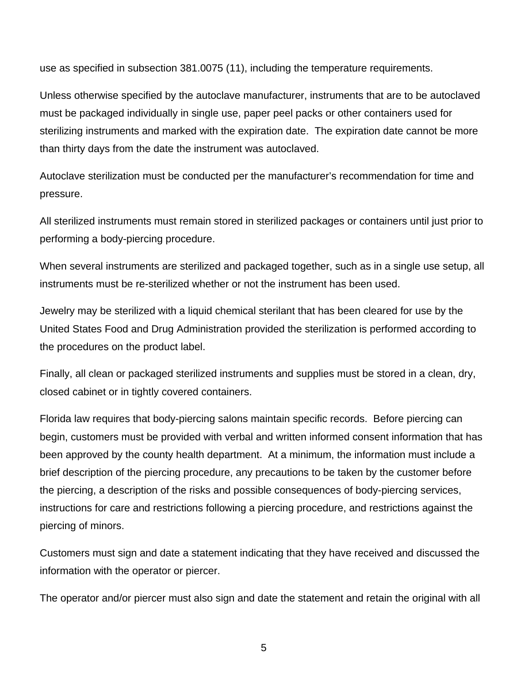use as specified in subsection 381.0075 (11), including the temperature requirements.

Unless otherwise specified by the autoclave manufacturer, instruments that are to be autoclaved must be packaged individually in single use, paper peel packs or other containers used for sterilizing instruments and marked with the expiration date. The expiration date cannot be more than thirty days from the date the instrument was autoclaved.

Autoclave sterilization must be conducted per the manufacturer's recommendation for time and pressure.

All sterilized instruments must remain stored in sterilized packages or containers until just prior to performing a body-piercing procedure.

When several instruments are sterilized and packaged together, such as in a single use setup, all instruments must be re-sterilized whether or not the instrument has been used.

Jewelry may be sterilized with a liquid chemical sterilant that has been cleared for use by the United States Food and Drug Administration provided the sterilization is performed according to the procedures on the product label.

Finally, all clean or packaged sterilized instruments and supplies must be stored in a clean, dry, closed cabinet or in tightly covered containers.

Florida law requires that body-piercing salons maintain specific records. Before piercing can begin, customers must be provided with verbal and written informed consent information that has been approved by the county health department. At a minimum, the information must include a brief description of the piercing procedure, any precautions to be taken by the customer before the piercing, a description of the risks and possible consequences of body-piercing services, instructions for care and restrictions following a piercing procedure, and restrictions against the piercing of minors.

Customers must sign and date a statement indicating that they have received and discussed the information with the operator or piercer.

The operator and/or piercer must also sign and date the statement and retain the original with all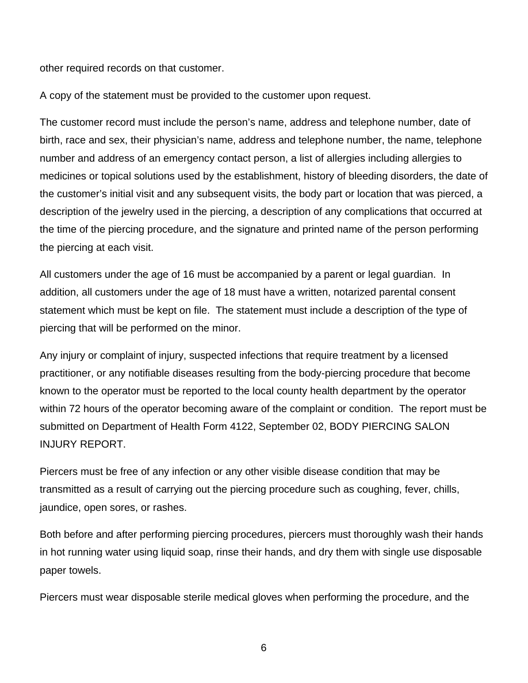other required records on that customer.

A copy of the statement must be provided to the customer upon request.

The customer record must include the person's name, address and telephone number, date of birth, race and sex, their physician's name, address and telephone number, the name, telephone number and address of an emergency contact person, a list of allergies including allergies to medicines or topical solutions used by the establishment, history of bleeding disorders, the date of the customer's initial visit and any subsequent visits, the body part or location that was pierced, a description of the jewelry used in the piercing, a description of any complications that occurred at the time of the piercing procedure, and the signature and printed name of the person performing the piercing at each visit.

All customers under the age of 16 must be accompanied by a parent or legal guardian. In addition, all customers under the age of 18 must have a written, notarized parental consent statement which must be kept on file. The statement must include a description of the type of piercing that will be performed on the minor.

Any injury or complaint of injury, suspected infections that require treatment by a licensed practitioner, or any notifiable diseases resulting from the body-piercing procedure that become known to the operator must be reported to the local county health department by the operator within 72 hours of the operator becoming aware of the complaint or condition. The report must be submitted on Department of Health Form 4122, September 02, BODY PIERCING SALON INJURY REPORT.

Piercers must be free of any infection or any other visible disease condition that may be transmitted as a result of carrying out the piercing procedure such as coughing, fever, chills, jaundice, open sores, or rashes.

Both before and after performing piercing procedures, piercers must thoroughly wash their hands in hot running water using liquid soap, rinse their hands, and dry them with single use disposable paper towels.

Piercers must wear disposable sterile medical gloves when performing the procedure, and the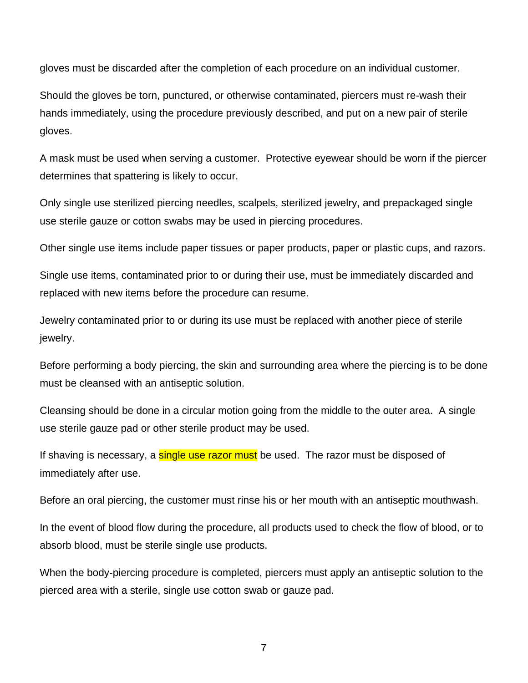gloves must be discarded after the completion of each procedure on an individual customer.

Should the gloves be torn, punctured, or otherwise contaminated, piercers must re-wash their hands immediately, using the procedure previously described, and put on a new pair of sterile gloves.

A mask must be used when serving a customer. Protective eyewear should be worn if the piercer determines that spattering is likely to occur.

Only single use sterilized piercing needles, scalpels, sterilized jewelry, and prepackaged single use sterile gauze or cotton swabs may be used in piercing procedures.

Other single use items include paper tissues or paper products, paper or plastic cups, and razors.

Single use items, contaminated prior to or during their use, must be immediately discarded and replaced with new items before the procedure can resume.

Jewelry contaminated prior to or during its use must be replaced with another piece of sterile jewelry.

Before performing a body piercing, the skin and surrounding area where the piercing is to be done must be cleansed with an antiseptic solution.

Cleansing should be done in a circular motion going from the middle to the outer area. A single use sterile gauze pad or other sterile product may be used.

If shaving is necessary, a **single use razor must** be used. The razor must be disposed of immediately after use.

Before an oral piercing, the customer must rinse his or her mouth with an antiseptic mouthwash.

In the event of blood flow during the procedure, all products used to check the flow of blood, or to absorb blood, must be sterile single use products.

When the body-piercing procedure is completed, piercers must apply an antiseptic solution to the pierced area with a sterile, single use cotton swab or gauze pad.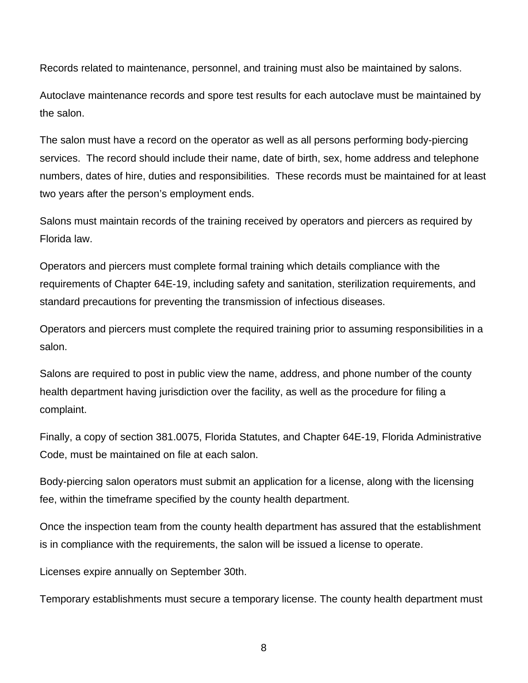Records related to maintenance, personnel, and training must also be maintained by salons.

Autoclave maintenance records and spore test results for each autoclave must be maintained by the salon.

The salon must have a record on the operator as well as all persons performing body-piercing services. The record should include their name, date of birth, sex, home address and telephone numbers, dates of hire, duties and responsibilities. These records must be maintained for at least two years after the person's employment ends.

Salons must maintain records of the training received by operators and piercers as required by Florida law.

Operators and piercers must complete formal training which details compliance with the requirements of Chapter 64E-19, including safety and sanitation, sterilization requirements, and standard precautions for preventing the transmission of infectious diseases.

Operators and piercers must complete the required training prior to assuming responsibilities in a salon.

Salons are required to post in public view the name, address, and phone number of the county health department having jurisdiction over the facility, as well as the procedure for filing a complaint.

Finally, a copy of section 381.0075, Florida Statutes, and Chapter 64E-19, Florida Administrative Code, must be maintained on file at each salon.

Body-piercing salon operators must submit an application for a license, along with the licensing fee, within the timeframe specified by the county health department.

Once the inspection team from the county health department has assured that the establishment is in compliance with the requirements, the salon will be issued a license to operate.

Licenses expire annually on September 30th.

Temporary establishments must secure a temporary license. The county health department must